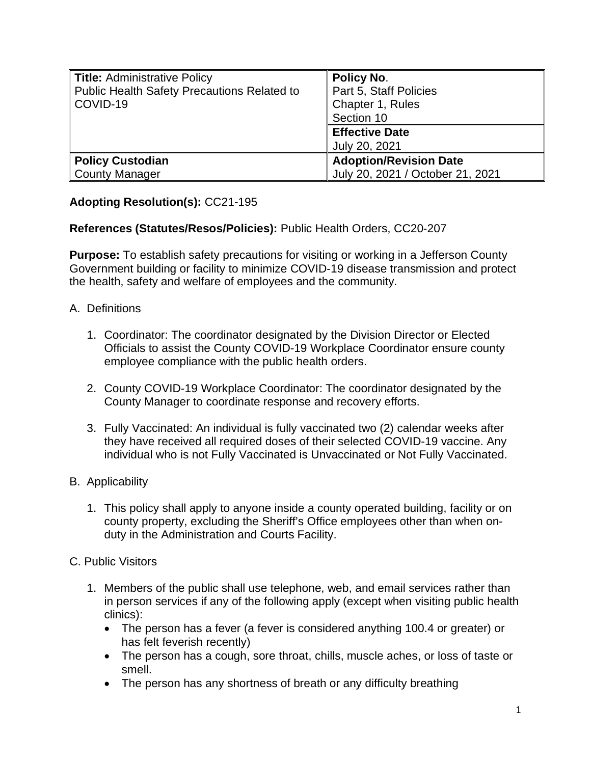| <b>Title: Administrative Policy</b><br><b>Public Health Safety Precautions Related to</b><br>COVID-19 | <b>Policy No.</b><br>Part 5, Staff Policies<br>Chapter 1, Rules<br>Section 10 |
|-------------------------------------------------------------------------------------------------------|-------------------------------------------------------------------------------|
|                                                                                                       | <b>Effective Date</b><br>July 20, 2021                                        |
| <b>Policy Custodian</b><br><b>County Manager</b>                                                      | <b>Adoption/Revision Date</b><br>July 20, 2021 / October 21, 2021             |

## **Adopting Resolution(s):** CC21-195

## **References (Statutes/Resos/Policies):** Public Health Orders, CC20-207

**Purpose:** To establish safety precautions for visiting or working in a Jefferson County Government building or facility to minimize COVID-19 disease transmission and protect the health, safety and welfare of employees and the community.

- A. Definitions
	- 1. Coordinator: The coordinator designated by the Division Director or Elected Officials to assist the County COVID-19 Workplace Coordinator ensure county employee compliance with the public health orders.
	- 2. County COVID-19 Workplace Coordinator: The coordinator designated by the County Manager to coordinate response and recovery efforts.
	- 3. Fully Vaccinated: An individual is fully vaccinated two (2) calendar weeks after they have received all required doses of their selected COVID-19 vaccine. Any individual who is not Fully Vaccinated is Unvaccinated or Not Fully Vaccinated.
- B. Applicability
	- 1. This policy shall apply to anyone inside a county operated building, facility or on county property, excluding the Sheriff's Office employees other than when onduty in the Administration and Courts Facility.
- C. Public Visitors
	- 1. Members of the public shall use telephone, web, and email services rather than in person services if any of the following apply (except when visiting public health clinics):
		- The person has a fever (a fever is considered anything 100.4 or greater) or has felt feverish recently)
		- The person has a cough, sore throat, chills, muscle aches, or loss of taste or smell.
		- The person has any shortness of breath or any difficulty breathing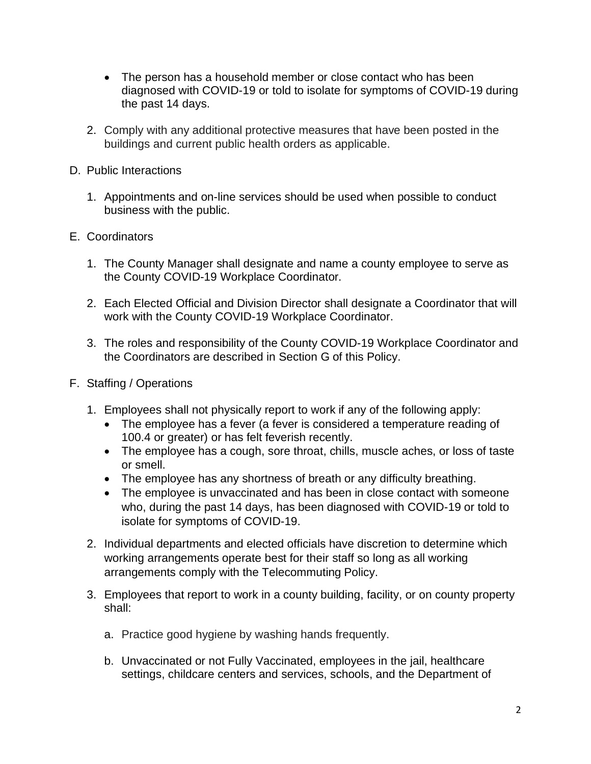- The person has a household member or close contact who has been diagnosed with COVID-19 or told to isolate for symptoms of COVID-19 during the past 14 days.
- 2. Comply with any additional protective measures that have been posted in the buildings and current public health orders as applicable.
- D. Public Interactions
	- 1. Appointments and on-line services should be used when possible to conduct business with the public.
- E. Coordinators
	- 1. The County Manager shall designate and name a county employee to serve as the County COVID-19 Workplace Coordinator.
	- 2. Each Elected Official and Division Director shall designate a Coordinator that will work with the County COVID-19 Workplace Coordinator.
	- 3. The roles and responsibility of the County COVID-19 Workplace Coordinator and the Coordinators are described in Section G of this Policy.
- F. Staffing / Operations
	- 1. Employees shall not physically report to work if any of the following apply:
		- The employee has a fever (a fever is considered a temperature reading of 100.4 or greater) or has felt feverish recently.
		- The employee has a cough, sore throat, chills, muscle aches, or loss of taste or smell.
		- The employee has any shortness of breath or any difficulty breathing.
		- The employee is unvaccinated and has been in close contact with someone who, during the past 14 days, has been diagnosed with COVID-19 or told to isolate for symptoms of COVID-19.
	- 2. Individual departments and elected officials have discretion to determine which working arrangements operate best for their staff so long as all working arrangements comply with the Telecommuting Policy.
	- 3. Employees that report to work in a county building, facility, or on county property shall:
		- a. Practice good hygiene by washing hands frequently.
		- b. Unvaccinated or not Fully Vaccinated, employees in the jail, healthcare settings, childcare centers and services, schools, and the Department of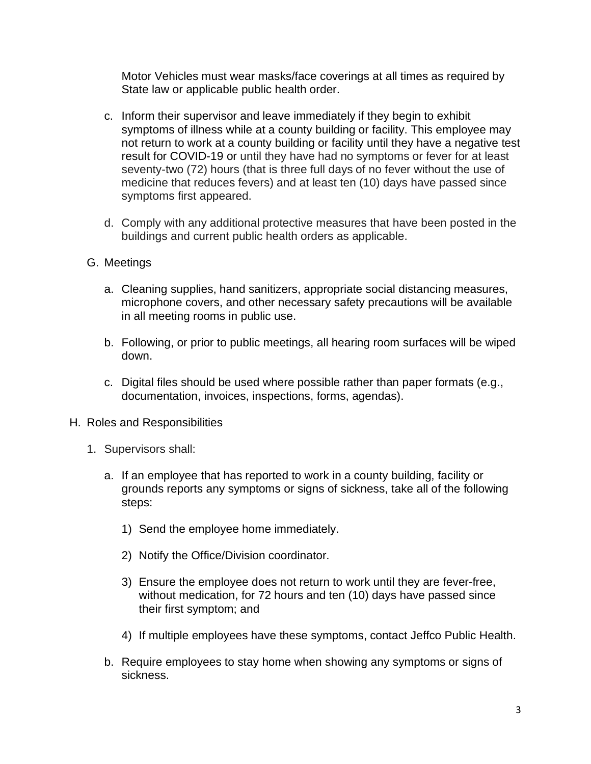Motor Vehicles must wear masks/face coverings at all times as required by State law or applicable public health order.

- c. Inform their supervisor and leave immediately if they begin to exhibit symptoms of illness while at a county building or facility. This employee may not return to work at a county building or facility until they have a negative test result for COVID-19 or until they have had no symptoms or fever for at least seventy-two (72) hours (that is three full days of no fever without the use of medicine that reduces fevers) and at least ten (10) days have passed since symptoms first appeared.
- d. Comply with any additional protective measures that have been posted in the buildings and current public health orders as applicable.
- G. Meetings
	- a. Cleaning supplies, hand sanitizers, appropriate social distancing measures, microphone covers, and other necessary safety precautions will be available in all meeting rooms in public use.
	- b. Following, or prior to public meetings, all hearing room surfaces will be wiped down.
	- c. Digital files should be used where possible rather than paper formats (e.g., documentation, invoices, inspections, forms, agendas).
- H. Roles and Responsibilities
	- 1. Supervisors shall:
		- a. If an employee that has reported to work in a county building, facility or grounds reports any symptoms or signs of sickness, take all of the following steps:
			- 1) Send the employee home immediately.
			- 2) Notify the Office/Division coordinator.
			- 3) Ensure the employee does not return to work until they are fever-free, without medication, for 72 hours and ten (10) days have passed since their first symptom; and
			- 4) If multiple employees have these symptoms, contact Jeffco Public Health.
		- b. Require employees to stay home when showing any symptoms or signs of sickness.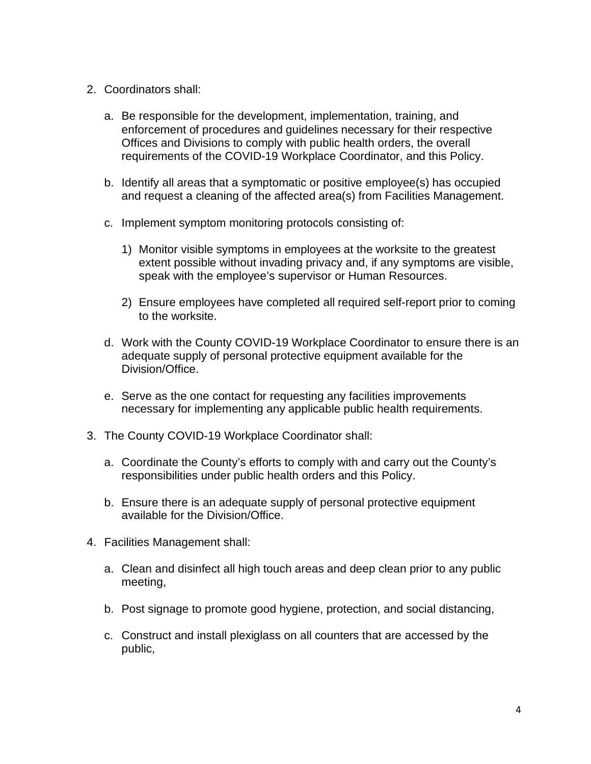- 2. Coordinators shall:
	- a. Be responsible for the development, implementation, training, and enforcement of procedures and guidelines necessary for their respective Offices and Divisions to comply with public health orders, the overall requirements of the COVID-19 Workplace Coordinator, and this Policy.
	- b. Identify all areas that a symptomatic or positive employee(s) has occupied and request a cleaning of the affected area(s) from Facilities Management.
	- c. Implement symptom monitoring protocols consisting of:
		- 1) Monitor visible symptoms in employees at the worksite to the greatest extent possible without invading privacy and, if any symptoms are visible, speak with the employee's supervisor or Human Resources.
		- 2) Ensure employees have completed all required self-report prior to coming to the worksite.
	- d. Work with the County COVID-19 Workplace Coordinator to ensure there is an adequate supply of personal protective equipment available for the Division/Office.
	- e. Serve as the one contact for requesting any facilities improvements necessary for implementing any applicable public health requirements.
- 3. The County COVID-19 Workplace Coordinator shall:
	- a. Coordinate the County's efforts to comply with and carry out the County's responsibilities under public health orders and this Policy.
	- b. Ensure there is an adequate supply of personal protective equipment available for the Division/Office.
- 4. Facilities Management shall:
	- a. Clean and disinfect all high touch areas and deep clean prior to any public meeting,
	- b. Post signage to promote good hygiene, protection, and social distancing,
	- c. Construct and install plexiglass on all counters that are accessed by the public,